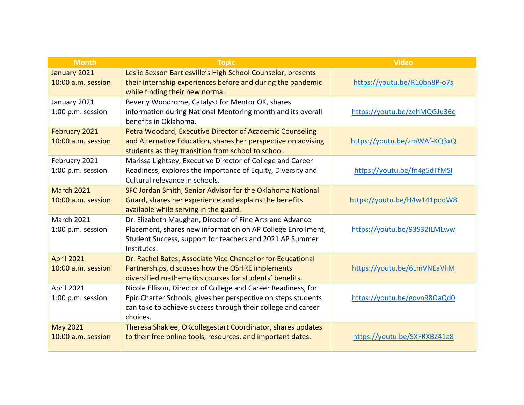| <b>Month</b>                            | <b>Topic</b>                                                                                                                                                                                               | <b>Video</b>                 |
|-----------------------------------------|------------------------------------------------------------------------------------------------------------------------------------------------------------------------------------------------------------|------------------------------|
| January 2021<br>10:00 a.m. session      | Leslie Sexson Bartlesville's High School Counselor, presents<br>their internship experiences before and during the pandemic<br>while finding their new normal.                                             | https://youtu.be/R10bn8P-o7s |
| January 2021<br>1:00 p.m. session       | Beverly Woodrome, Catalyst for Mentor OK, shares<br>information during National Mentoring month and its overall<br>benefits in Oklahoma.                                                                   | https://youtu.be/zehMQGJu36c |
| February 2021<br>10:00 a.m. session     | Petra Woodard, Executive Director of Academic Counseling<br>and Alternative Education, shares her perspective on advising<br>students as they transition from school to school.                            | https://youtu.be/zmWAf-KQ3xQ |
| February 2021<br>1:00 p.m. session      | Marissa Lightsey, Executive Director of College and Career<br>Readiness, explores the importance of Equity, Diversity and<br>Cultural relevance in schools.                                                | https://youtu.be/fn4g5dTfMSI |
| <b>March 2021</b><br>10:00 a.m. session | SFC Jordan Smith, Senior Advisor for the Oklahoma National<br>Guard, shares her experience and explains the benefits<br>available while serving in the guard.                                              | https://youtu.be/H4w141pqqW8 |
| <b>March 2021</b><br>1:00 p.m. session  | Dr. Elizabeth Maughan, Director of Fine Arts and Advance<br>Placement, shares new information on AP College Enrollment,<br>Student Success, support for teachers and 2021 AP Summer<br>Institutes.         | https://youtu.be/93S32ILMLww |
| <b>April 2021</b><br>10:00 a.m. session | Dr. Rachel Bates, Associate Vice Chancellor for Educational<br>Partnerships, discusses how the OSHRE implements<br>diversified mathematics courses for students' benefits.                                 | https://youtu.be/6LmVNEaVliM |
| April 2021<br>1:00 p.m. session         | Nicole Ellison, Director of College and Career Readiness, for<br>Epic Charter Schools, gives her perspective on steps students<br>can take to achieve success through their college and career<br>choices. | https://youtu.be/govn98OaQd0 |
| <b>May 2021</b><br>10:00 a.m. session   | Theresa Shaklee, OKcollegestart Coordinator, shares updates<br>to their free online tools, resources, and important dates.                                                                                 | https://youtu.be/SXFRXBZ41a8 |